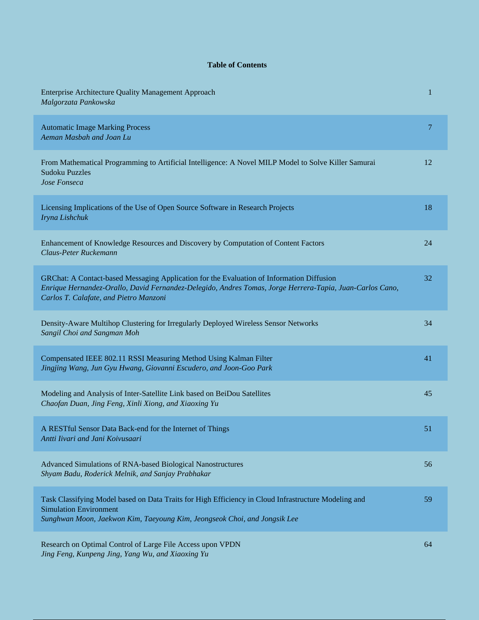## **Table of Contents**

| <b>Enterprise Architecture Quality Management Approach</b><br>Malgorzata Pankowska                                                                                                                                                              | $\mathbf{1}$ |
|-------------------------------------------------------------------------------------------------------------------------------------------------------------------------------------------------------------------------------------------------|--------------|
| <b>Automatic Image Marking Process</b><br>Aeman Masbah and Joan Lu                                                                                                                                                                              | 7            |
| From Mathematical Programming to Artificial Intelligence: A Novel MILP Model to Solve Killer Samurai<br><b>Sudoku Puzzles</b><br>Jose Fonseca                                                                                                   | 12           |
| Licensing Implications of the Use of Open Source Software in Research Projects<br>Iryna Lishchuk                                                                                                                                                | 18           |
| Enhancement of Knowledge Resources and Discovery by Computation of Content Factors<br>Claus-Peter Ruckemann                                                                                                                                     | 24           |
| GRChat: A Contact-based Messaging Application for the Evaluation of Information Diffusion<br>Enrique Hernandez-Orallo, David Fernandez-Delegido, Andres Tomas, Jorge Herrera-Tapia, Juan-Carlos Cano,<br>Carlos T. Calafate, and Pietro Manzoni | 32           |
| Density-Aware Multihop Clustering for Irregularly Deployed Wireless Sensor Networks<br>Sangil Choi and Sangman Moh                                                                                                                              | 34           |
| Compensated IEEE 802.11 RSSI Measuring Method Using Kalman Filter<br>Jingjing Wang, Jun Gyu Hwang, Giovanni Escudero, and Joon-Goo Park                                                                                                         | 41           |
| Modeling and Analysis of Inter-Satellite Link based on BeiDou Satellites<br>Chaofan Duan, Jing Feng, Xinli Xiong, and Xiaoxing Yu                                                                                                               | 45           |
| A RESTful Sensor Data Back-end for the Internet of Things<br>Antti Iivari and Jani Koivusaari                                                                                                                                                   | 51           |
| Advanced Simulations of RNA-based Biological Nanostructures<br>Shyam Badu, Roderick Melnik, and Sanjay Prabhakar                                                                                                                                | 56           |
| Task Classifying Model based on Data Traits for High Efficiency in Cloud Infrastructure Modeling and<br><b>Simulation Environment</b><br>Sunghwan Moon, Jaekwon Kim, Taeyoung Kim, Jeongseok Choi, and Jongsik Lee                              | 59           |
| Research on Optimal Control of Large File Access upon VPDN<br>Jing Feng, Kunpeng Jing, Yang Wu, and Xiaoxing Yu                                                                                                                                 | 64           |